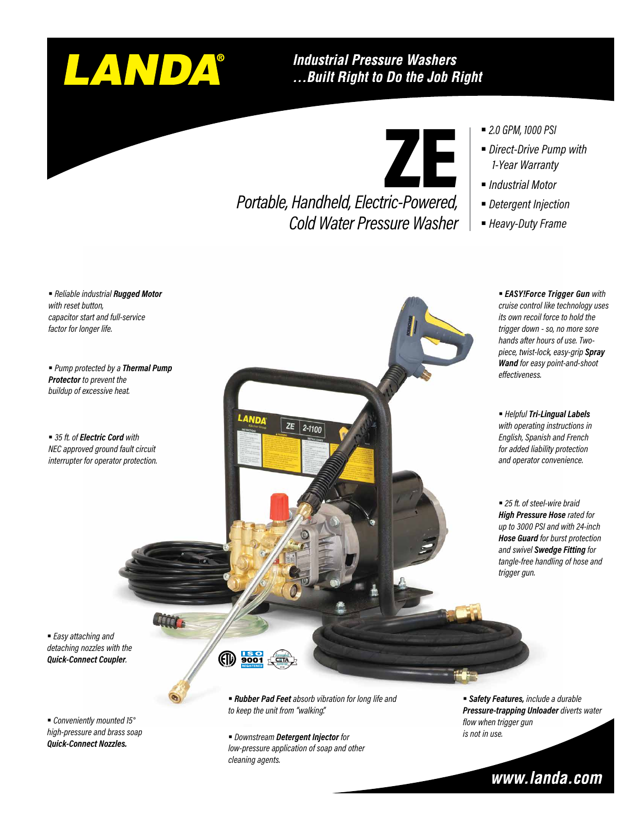# LANDA®

#### **Industrial Pressure Washers** ... Built Right to Do the Job Right

ZE

*Portable, Handheld, Electric-Powered, Cold Water Pressure Washer*



- *Direct-Drive Pump with 1-Year Warranty*
- *Industrial Motor*
- *Detergent Injection*
- § *Heavy-Duty Frame*

§ *Reliable industrial Rugged Motor with reset button, capacitor start and full-service factor for longer life.*

§ *Pump protected by a Thermal Pump Protector to prevent the buildup of excessive heat.*

■ 35 ft. of *Electric Cord with NEC approved ground fault circuit interrupter for operator protection.*

§ *EASY!Force Trigger Gun with cruise control like technology uses its own recoil force to hold the trigger down - so, no more sore hands after hours of use. Twopiece, twist-lock, easy-grip Spray Wand for easy point-and-shoot effectiveness.*

§ *Helpful Tri-Lingual Labels with operating instructions in English, Spanish and French for added liability protection and operator convenience.*

■ 25 ft. of steel-wire braid *High Pressure Hose rated for up to 3000 PSI and with 24-inch Hose Guard for burst protection and swivel Swedge Fitting for tangle-free handling of hose and trigger gun.*

§ *Easy attaching and detaching nozzles with the Quick-Connect Coupler.*

**ATCO** 

§ *Conveniently mounted 15° high-pressure and brass soap Quick-Connect Nozzles.*

- ௵ <u>ISO</u>
	- § *Rubber Pad Feet absorb vibration for long life and to keep the unit from "walking".*

 $ZE$  2-1100

§ *Downstream Detergent Injector for low-pressure application of soap and other cleaning agents.*

§ *Safety Features, include a durable Pressure-trapping Unloader diverts water flow when trigger gun is not in use.*

### www.landa.com